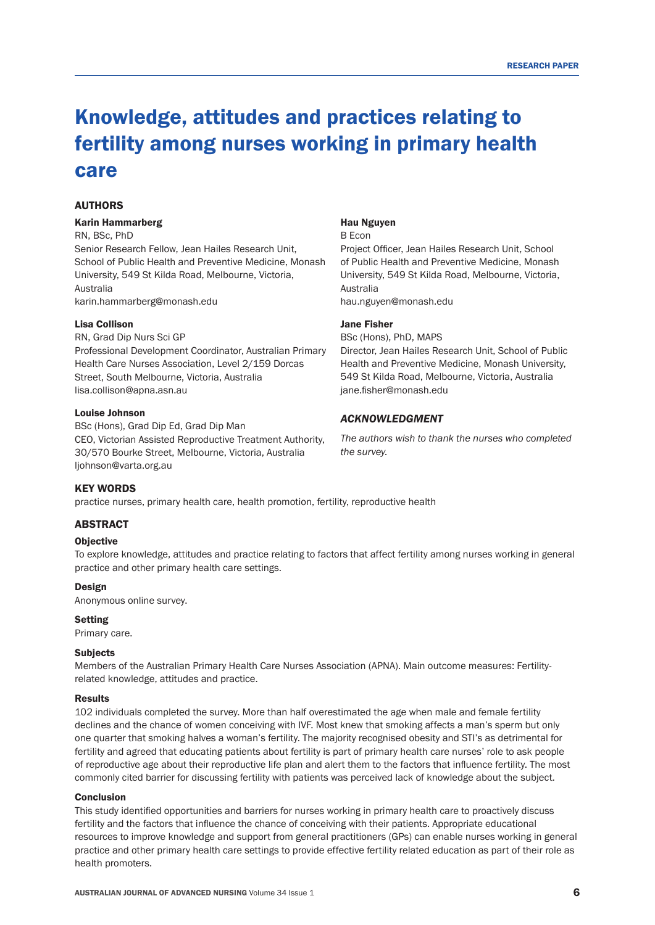# Knowledge, attitudes and practices relating to fertility among nurses working in primary health care

# AUTHORS

#### Karin Hammarberg

RN, BSc, PhD Senior Research Fellow, Jean Hailes Research Unit, School of Public Health and Preventive Medicine, Monash University, 549 St Kilda Road, Melbourne, Victoria, Australia karin.hammarberg@monash.edu

#### Lisa Collison

RN, Grad Dip Nurs Sci GP Professional Development Coordinator, Australian Primary Health Care Nurses Association, Level 2/159 Dorcas Street, South Melbourne, Victoria, Australia lisa.collison@apna.asn.au

#### Louise Johnson

BSc (Hons), Grad Dip Ed, Grad Dip Man CEO, Victorian Assisted Reproductive Treatment Authority, 30/570 Bourke Street, Melbourne, Victoria, Australia ljohnson@varta.org.au

#### Hau Nguyen

B Econ

Project Officer, Jean Hailes Research Unit, School of Public Health and Preventive Medicine, Monash University, 549 St Kilda Road, Melbourne, Victoria, Australia

hau.nguyen@monash.edu

## Jane Fisher

BSc (Hons), PhD, MAPS Director, Jean Hailes Research Unit, School of Public Health and Preventive Medicine, Monash University, 549 St Kilda Road, Melbourne, Victoria, Australia jane.fisher@monash.edu

#### *ACKNOWLEDGMENT*

*The authors wish to thank the nurses who completed the survey.* 

#### KEY WORDS

practice nurses, primary health care, health promotion, fertility, reproductive health

## ABSTRACT

## **Objective**

To explore knowledge, attitudes and practice relating to factors that affect fertility among nurses working in general practice and other primary health care settings.

#### Design

Anonymous online survey.

## Setting

Primary care.

#### **Subjects**

Members of the Australian Primary Health Care Nurses Association (APNA). Main outcome measures: Fertilityrelated knowledge, attitudes and practice.

#### Results

102 individuals completed the survey. More than half overestimated the age when male and female fertility declines and the chance of women conceiving with IVF. Most knew that smoking affects a man's sperm but only one quarter that smoking halves a woman's fertility. The majority recognised obesity and STI's as detrimental for fertility and agreed that educating patients about fertility is part of primary health care nurses' role to ask people of reproductive age about their reproductive life plan and alert them to the factors that influence fertility. The most commonly cited barrier for discussing fertility with patients was perceived lack of knowledge about the subject.

## **Conclusion**

This study identified opportunities and barriers for nurses working in primary health care to proactively discuss fertility and the factors that influence the chance of conceiving with their patients. Appropriate educational resources to improve knowledge and support from general practitioners (GPs) can enable nurses working in general practice and other primary health care settings to provide effective fertility related education as part of their role as health promoters.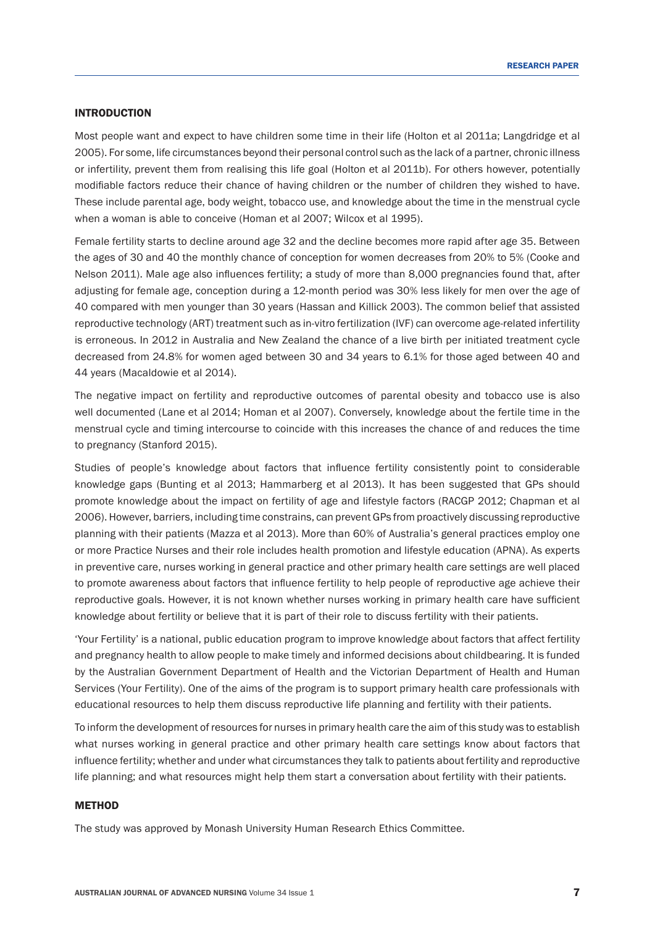# INTRODUCTION

Most people want and expect to have children some time in their life (Holton et al 2011a; Langdridge et al 2005). For some, life circumstances beyond their personal control such as the lack of a partner, chronic illness or infertility, prevent them from realising this life goal (Holton et al 2011b). For others however, potentially modifiable factors reduce their chance of having children or the number of children they wished to have. These include parental age, body weight, tobacco use, and knowledge about the time in the menstrual cycle when a woman is able to conceive (Homan et al 2007; Wilcox et al 1995).

Female fertility starts to decline around age 32 and the decline becomes more rapid after age 35. Between the ages of 30 and 40 the monthly chance of conception for women decreases from 20% to 5% (Cooke and Nelson 2011). Male age also influences fertility; a study of more than 8,000 pregnancies found that, after adjusting for female age, conception during a 12-month period was 30% less likely for men over the age of 40 compared with men younger than 30 years (Hassan and Killick 2003). The common belief that assisted reproductive technology (ART) treatment such as in-vitro fertilization (IVF) can overcome age-related infertility is erroneous. In 2012 in Australia and New Zealand the chance of a live birth per initiated treatment cycle decreased from 24.8% for women aged between 30 and 34 years to 6.1% for those aged between 40 and 44 years (Macaldowie et al 2014).

The negative impact on fertility and reproductive outcomes of parental obesity and tobacco use is also well documented (Lane et al 2014; Homan et al 2007). Conversely, knowledge about the fertile time in the menstrual cycle and timing intercourse to coincide with this increases the chance of and reduces the time to pregnancy (Stanford 2015).

Studies of people's knowledge about factors that influence fertility consistently point to considerable knowledge gaps (Bunting et al 2013; Hammarberg et al 2013). It has been suggested that GPs should promote knowledge about the impact on fertility of age and lifestyle factors (RACGP 2012; Chapman et al 2006). However, barriers, including time constrains, can prevent GPs from proactively discussing reproductive planning with their patients (Mazza et al 2013). More than 60% of Australia's general practices employ one or more Practice Nurses and their role includes health promotion and lifestyle education (APNA). As experts in preventive care, nurses working in general practice and other primary health care settings are well placed to promote awareness about factors that influence fertility to help people of reproductive age achieve their reproductive goals. However, it is not known whether nurses working in primary health care have sufficient knowledge about fertility or believe that it is part of their role to discuss fertility with their patients.

'Your Fertility' is a national, public education program to improve knowledge about factors that affect fertility and pregnancy health to allow people to make timely and informed decisions about childbearing. It is funded by the Australian Government Department of Health and the Victorian Department of Health and Human Services (Your Fertility). One of the aims of the program is to support primary health care professionals with educational resources to help them discuss reproductive life planning and fertility with their patients.

To inform the development of resources for nurses in primary health care the aim of this study was to establish what nurses working in general practice and other primary health care settings know about factors that influence fertility; whether and under what circumstances they talk to patients about fertility and reproductive life planning; and what resources might help them start a conversation about fertility with their patients.

# **METHOD**

The study was approved by Monash University Human Research Ethics Committee.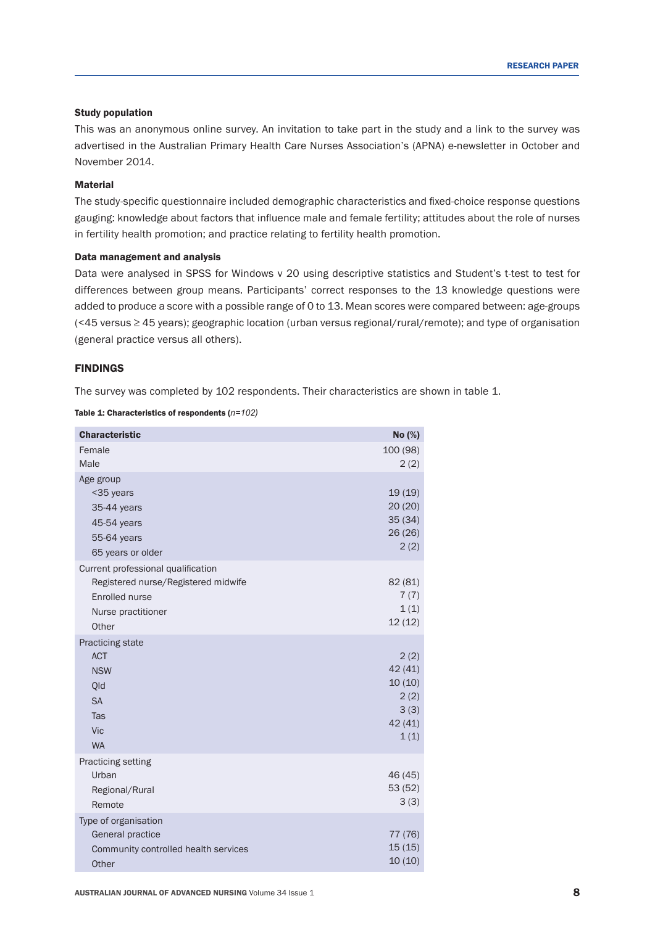# Study population

This was an anonymous online survey. An invitation to take part in the study and a link to the survey was advertised in the Australian Primary Health Care Nurses Association's (APNA) e-newsletter in October and November 2014.

# Material

The study-specific questionnaire included demographic characteristics and fixed-choice response questions gauging: knowledge about factors that influence male and female fertility; attitudes about the role of nurses in fertility health promotion; and practice relating to fertility health promotion.

## Data management and analysis

Data were analysed in SPSS for Windows v 20 using descriptive statistics and Student's t-test to test for differences between group means. Participants' correct responses to the 13 knowledge questions were added to produce a score with a possible range of 0 to 13. Mean scores were compared between: age-groups (<45 versus ≥ 45 years); geographic location (urban versus regional/rural/remote); and type of organisation (general practice versus all others).

# FINDINGS

The survey was completed by 102 respondents. Their characteristics are shown in table 1.

Table 1: Characteristics of respondents (*n=102)*

| <b>Characteristic</b>                                                                                                      | No (%)                                                       |
|----------------------------------------------------------------------------------------------------------------------------|--------------------------------------------------------------|
| Female<br>Male                                                                                                             | 100 (98)<br>2(2)                                             |
| Age group<br><35 years<br>35-44 years<br>45-54 years<br>55-64 years<br>65 years or older                                   | 19 (19)<br>20(20)<br>35(34)<br>26(26)<br>2(2)                |
| Current professional qualification<br>Registered nurse/Registered midwife<br>Enrolled nurse<br>Nurse practitioner<br>Other | 82 (81)<br>7(7)<br>1(1)<br>12(12)                            |
| Practicing state<br><b>ACT</b><br><b>NSW</b><br>Qld<br><b>SA</b><br>Tas<br><b>Vic</b><br><b>WA</b>                         | 2(2)<br>42 (41)<br>10(10)<br>2(2)<br>3(3)<br>42 (41)<br>1(1) |
| Practicing setting<br>Urban<br>Regional/Rural<br>Remote                                                                    | 46 (45)<br>53 (52)<br>3(3)                                   |
| Type of organisation<br>General practice<br>Community controlled health services<br>Other                                  | 77 (76)<br>15(15)<br>10(10)                                  |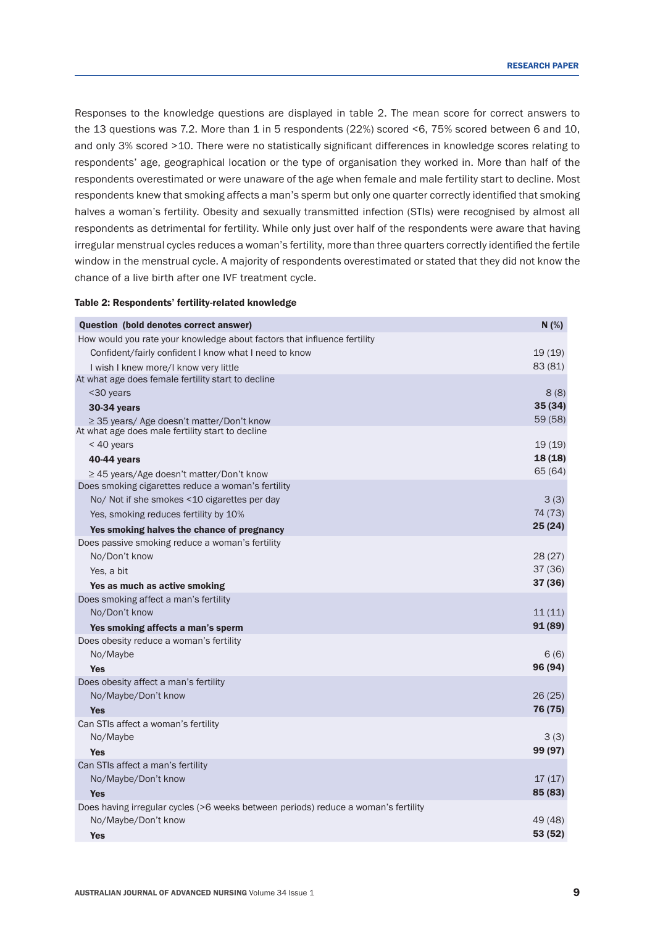Responses to the knowledge questions are displayed in table 2. The mean score for correct answers to the 13 questions was 7.2. More than 1 in 5 respondents (22%) scored <6, 75% scored between 6 and 10, and only 3% scored >10. There were no statistically significant differences in knowledge scores relating to respondents' age, geographical location or the type of organisation they worked in. More than half of the respondents overestimated or were unaware of the age when female and male fertility start to decline. Most respondents knew that smoking affects a man's sperm but only one quarter correctly identified that smoking halves a woman's fertility. Obesity and sexually transmitted infection (STIs) were recognised by almost all respondents as detrimental for fertility. While only just over half of the respondents were aware that having irregular menstrual cycles reduces a woman's fertility, more than three quarters correctly identified the fertile window in the menstrual cycle. A majority of respondents overestimated or stated that they did not know the chance of a live birth after one IVF treatment cycle.

## Table 2: Respondents' fertility-related knowledge

| Question (bold denotes correct answer)                                                             | N (%)   |
|----------------------------------------------------------------------------------------------------|---------|
| How would you rate your knowledge about factors that influence fertility                           |         |
| Confident/fairly confident I know what I need to know                                              | 19(19)  |
| I wish I knew more/I know very little                                                              | 83 (81) |
| At what age does female fertility start to decline                                                 |         |
| <30 years                                                                                          | 8(8)    |
| 30-34 years                                                                                        | 35 (34) |
| $\geq$ 35 years/ Age doesn't matter/Don't know<br>At what age does male fertility start to decline | 59 (58) |
| < 40 years                                                                                         | 19(19)  |
| 40-44 years                                                                                        | 18 (18) |
| ≥ 45 years/Age doesn't matter/Don't know                                                           | 65 (64) |
| Does smoking cigarettes reduce a woman's fertility                                                 |         |
| No/ Not if she smokes <10 cigarettes per day                                                       | 3(3)    |
| Yes, smoking reduces fertility by 10%                                                              | 74 (73) |
| Yes smoking halves the chance of pregnancy                                                         | 25(24)  |
| Does passive smoking reduce a woman's fertility                                                    |         |
| No/Don't know                                                                                      | 28(27)  |
| Yes, a bit                                                                                         | 37(36)  |
| Yes as much as active smoking                                                                      | 37 (36) |
| Does smoking affect a man's fertility                                                              |         |
| No/Don't know                                                                                      | 11(11)  |
| Yes smoking affects a man's sperm                                                                  | 91(89)  |
| Does obesity reduce a woman's fertility                                                            |         |
| No/Maybe                                                                                           | 6(6)    |
| <b>Yes</b>                                                                                         | 96 (94) |
| Does obesity affect a man's fertility                                                              |         |
| No/Maybe/Don't know                                                                                | 26(25)  |
| Yes                                                                                                | 76 (75) |
| Can STIs affect a woman's fertility                                                                |         |
| No/Maybe                                                                                           | 3(3)    |
| <b>Yes</b>                                                                                         | 99 (97) |
| Can STIs affect a man's fertility                                                                  |         |
| No/Maybe/Don't know                                                                                | 17(17)  |
| <b>Yes</b>                                                                                         | 85 (83) |
| Does having irregular cycles (>6 weeks between periods) reduce a woman's fertility                 |         |
| No/Maybe/Don't know                                                                                | 49 (48) |
| <b>Yes</b>                                                                                         | 53 (52) |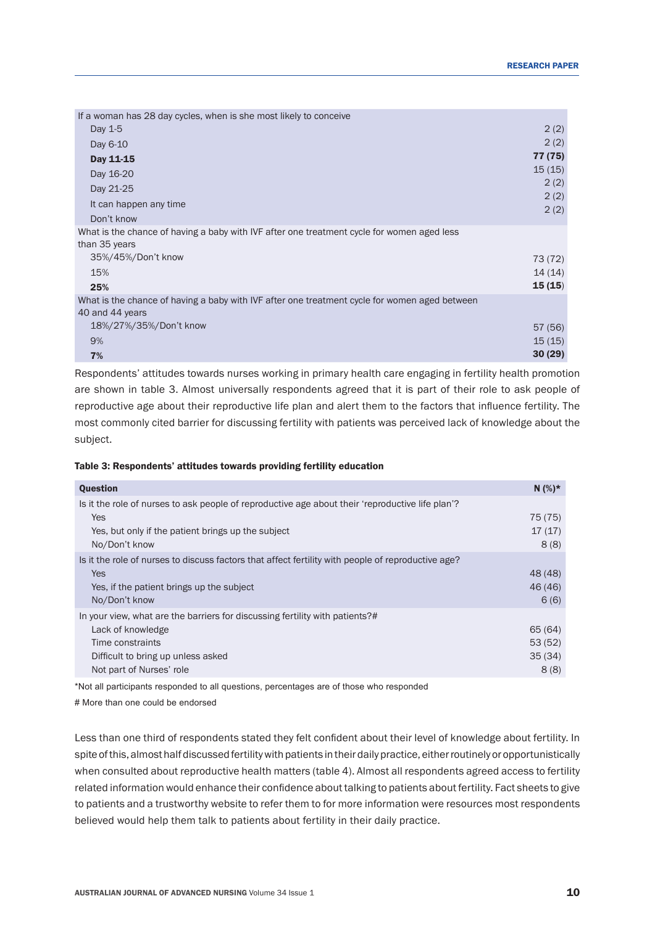| If a woman has 28 day cycles, when is she most likely to conceive                                                |              |
|------------------------------------------------------------------------------------------------------------------|--------------|
| Day 1-5                                                                                                          | 2(2)         |
| Day 6-10                                                                                                         | 2(2)         |
| Day 11-15                                                                                                        | 77 (75)      |
| Day 16-20                                                                                                        | 15(15)       |
| Day 21-25                                                                                                        | 2(2)         |
| It can happen any time                                                                                           | 2(2)<br>2(2) |
| Don't know                                                                                                       |              |
| What is the chance of having a baby with IVF after one treatment cycle for women aged less<br>than 35 years      |              |
| 35%/45%/Don't know                                                                                               | 73 (72)      |
| 15%                                                                                                              | 14(14)       |
| 25%                                                                                                              | 15(15)       |
| What is the chance of having a baby with IVF after one treatment cycle for women aged between<br>40 and 44 years |              |
| 18%/27%/35%/Don't know                                                                                           | 57 (56)      |
| 9%                                                                                                               | 15(15)       |
| 7%                                                                                                               | 30(29)       |

Respondents' attitudes towards nurses working in primary health care engaging in fertility health promotion are shown in table 3. Almost universally respondents agreed that it is part of their role to ask people of reproductive age about their reproductive life plan and alert them to the factors that influence fertility. The most commonly cited barrier for discussing fertility with patients was perceived lack of knowledge about the subject.

## Table 3: Respondents' attitudes towards providing fertility education

| <b>Question</b>                                                                                                                                                                         | $N(%)*$                             |
|-----------------------------------------------------------------------------------------------------------------------------------------------------------------------------------------|-------------------------------------|
| Is it the role of nurses to ask people of reproductive age about their 'reproductive life plan'?<br><b>Yes</b><br>Yes, but only if the patient brings up the subject<br>No/Don't know   | 75 (75)<br>17(17)<br>8(8)           |
| Is it the role of nurses to discuss factors that affect fertility with people of reproductive age?<br><b>Yes</b><br>Yes, if the patient brings up the subject<br>No/Don't know          | 48 (48)<br>46 (46)<br>6(6)          |
| In your view, what are the barriers for discussing fertility with patients?#<br>Lack of knowledge<br>Time constraints<br>Difficult to bring up unless asked<br>Not part of Nurses' role | 65 (64)<br>53(52)<br>35(34)<br>8(8) |

\*Not all participants responded to all questions, percentages are of those who responded

# More than one could be endorsed

Less than one third of respondents stated they felt confident about their level of knowledge about fertility. In spite of this, almost half discussed fertility with patients in their daily practice, either routinely or opportunistically when consulted about reproductive health matters (table 4). Almost all respondents agreed access to fertility related information would enhance their confidence about talking to patients about fertility. Fact sheets to give to patients and a trustworthy website to refer them to for more information were resources most respondents believed would help them talk to patients about fertility in their daily practice.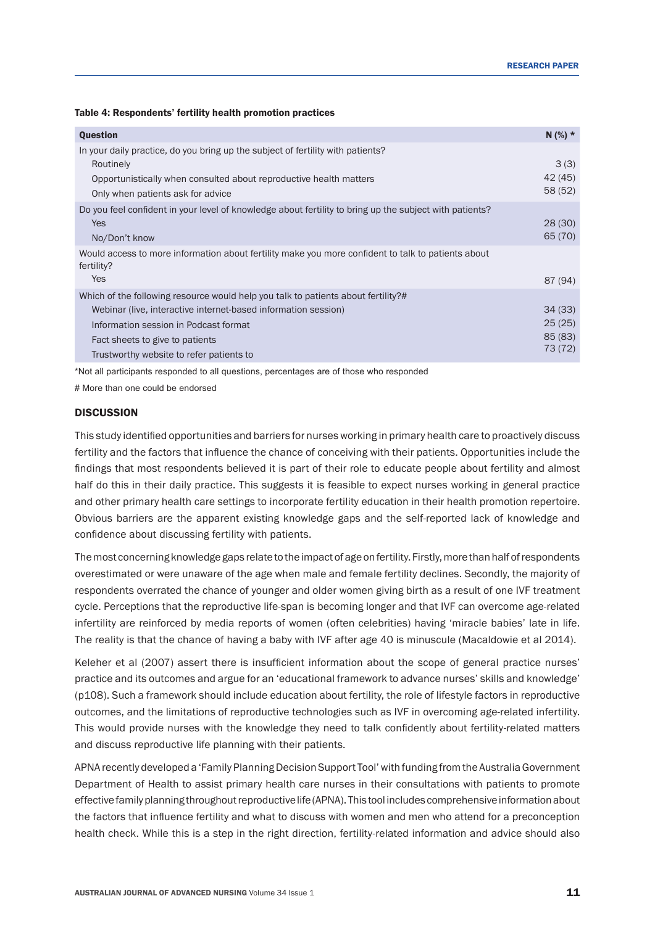Table 4: Respondents' fertility health promotion practices

| <b>Question</b>                                                                                                                                                                                                                                                             | $N$ (%) *                             |
|-----------------------------------------------------------------------------------------------------------------------------------------------------------------------------------------------------------------------------------------------------------------------------|---------------------------------------|
| In your daily practice, do you bring up the subject of fertility with patients?<br>Routinely<br>Opportunistically when consulted about reproductive health matters<br>Only when patients ask for advice                                                                     | 3(3)<br>42 (45)<br>58 (52)            |
| Do you feel confident in your level of knowledge about fertility to bring up the subject with patients?<br><b>Yes</b><br>No/Don't know                                                                                                                                      | 28(30)<br>65 (70)                     |
| Would access to more information about fertility make you more confident to talk to patients about<br>fertility?<br>Yes                                                                                                                                                     | 87 (94)                               |
| Which of the following resource would help you talk to patients about fertility?#<br>Webinar (live, interactive internet-based information session)<br>Information session in Podcast format<br>Fact sheets to give to patients<br>Trustworthy website to refer patients to | 34(33)<br>25(25)<br>85(83)<br>73 (72) |

\*Not all participants responded to all questions, percentages are of those who responded

# More than one could be endorsed

## **DISCUSSION**

This study identified opportunities and barriers for nursesworking in primary health care to proactively discuss fertility and the factors that influence the chance of conceiving with their patients. Opportunities include the findings that most respondents believed it is part of their role to educate people about fertility and almost half do this in their daily practice. This suggests it is feasible to expect nurses working in general practice and other primary health care settings to incorporate fertility education in their health promotion repertoire. Obvious barriers are the apparent existing knowledge gaps and the self-reported lack of knowledge and confidence about discussing fertility with patients.

The most concerning knowledge gaps relate to the impact of age on fertility. Firstly, more than half of respondents overestimated or were unaware of the age when male and female fertility declines. Secondly, the majority of respondents overrated the chance of younger and older women giving birth as a result of one IVF treatment cycle. Perceptions that the reproductive life-span is becoming longer and that IVF can overcome age-related infertility are reinforced by media reports of women (often celebrities) having 'miracle babies' late in life. The reality is that the chance of having a baby with IVF after age 40 is minuscule (Macaldowie et al 2014).

Keleher et al (2007) assert there is insufficient information about the scope of general practice nurses' practice and its outcomes and argue for an 'educational framework to advance nurses' skills and knowledge' (p108). Such a framework should include education about fertility, the role of lifestyle factors in reproductive outcomes, and the limitations of reproductive technologies such as IVF in overcoming age-related infertility. This would provide nurses with the knowledge they need to talk confidently about fertility-related matters and discuss reproductive life planning with their patients.

APNA recently developed a 'Family Planning Decision Support Tool' with funding from the Australia Government Department of Health to assist primary health care nurses in their consultations with patients to promote effective family planning throughout reproductive life (APNA). This tool includes comprehensive information about the factors that influence fertility and what to discuss with women and men who attend for a preconception health check. While this is a step in the right direction, fertility-related information and advice should also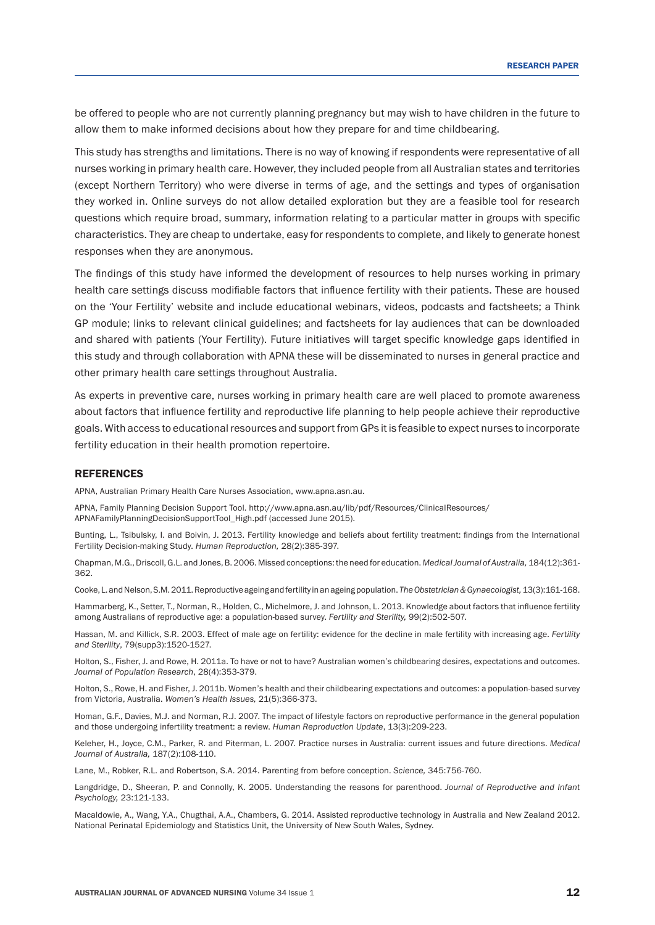be offered to people who are not currently planning pregnancy but may wish to have children in the future to allow them to make informed decisions about how they prepare for and time childbearing.

This study has strengths and limitations. There is no way of knowing if respondents were representative of all nurses working in primary health care. However, they included people from all Australian states and territories (except Northern Territory) who were diverse in terms of age, and the settings and types of organisation they worked in. Online surveys do not allow detailed exploration but they are a feasible tool for research questions which require broad, summary, information relating to a particular matter in groups with specific characteristics. They are cheap to undertake, easy for respondents to complete, and likely to generate honest responses when they are anonymous.

The findings of this study have informed the development of resources to help nurses working in primary health care settings discuss modifiable factors that influence fertility with their patients. These are housed on the 'Your Fertility' website and include educational webinars, videos, podcasts and factsheets; a Think GP module; links to relevant clinical guidelines; and factsheets for lay audiences that can be downloaded and shared with patients (Your Fertility). Future initiatives will target specific knowledge gaps identified in this study and through collaboration with APNA these will be disseminated to nurses in general practice and other primary health care settings throughout Australia.

As experts in preventive care, nurses working in primary health care are well placed to promote awareness about factors that influence fertility and reproductive life planning to help people achieve their reproductive goals. With access to educational resources and support from GPs it is feasible to expect nurses to incorporate fertility education in their health promotion repertoire.

#### REFERENCES

APNA, Australian Primary Health Care Nurses Association, www.apna.asn.au.

APNA, Family Planning Decision Support Tool. http://www.apna.asn.au/lib/pdf/Resources/ClinicalResources/ APNAFamilyPlanningDecisionSupportTool\_High.pdf (accessed June 2015).

Bunting, L., Tsibulsky, I. and Boivin, J. 2013. Fertility knowledge and beliefs about fertility treatment: findings from the International Fertility Decision-making Study. *Human Reproduction,* 28(2):385-397.

Chapman, M.G.,Driscoll,G.L. and Jones, B. 2006. Missed conceptions:the need for education. *Medical Journal of Australia,* 184(12):361-362.

Cooke, L. and Nelson, S.M. 2011. Reproductive ageing and fertility in an ageing population. *The Obstetrician & Gynaecologist,* 13(3):161-168.

Hammarberg, K., Setter, T., Norman, R., Holden, C., Michelmore, J. and Johnson, L. 2013. Knowledge about factors that influence fertility among Australians of reproductive age: a population-based survey. *Fertility and Sterility,* 99(2):502-507.

Hassan, M. and Killick, S.R. 2003. Effect of male age on fertility: evidence for the decline in male fertility with increasing age. *Fertility and Sterility*, 79(supp3):1520-1527.

Holton, S., Fisher, J. and Rowe, H. 2011a. To have or not to have? Australian women's childbearing desires, expectations and outcomes. *Journal of Population Research*, 28(4):353-379.

Holton, S., Rowe, H. and Fisher, J. 2011b. Women's health and their childbearing expectations and outcomes: a population-based survey from Victoria, Australia. *Women's Health Issues,* 21(5):366-373.

Homan, G.F., Davies, M.J. and Norman, R.J. 2007. The impact of lifestyle factors on reproductive performance in the general population and those undergoing infertility treatment: a review. *Human Reproduction Update*, 13(3):209-223.

Keleher, H., Joyce, C.M., Parker, R. and Piterman, L. 2007. Practice nurses in Australia: current issues and future directions. *Medical Journal of Australia,* 187(2):108-110.

Lane, M., Robker, R.L. and Robertson, S.A. 2014. Parenting from before conception. *Science,* 345:756-760.

Langdridge, D., Sheeran, P. and Connolly, K. 2005. Understanding the reasons for parenthood. *Journal of Reproductive and Infant Psychology,* 23:121-133.

Macaldowie, A., Wang, Y.A., Chugthai, A.A., Chambers, G. 2014. Assisted reproductive technology in Australia and New Zealand 2012. National Perinatal Epidemiology and Statistics Unit, the University of New South Wales, Sydney.